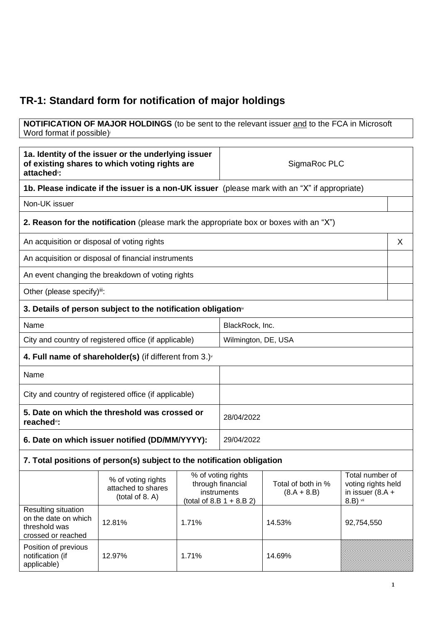# **TR-1: Standard form for notification of major holdings**

#### **NOTIFICATION OF MAJOR HOLDINGS** (to be sent to the relevant issuer and to the FCA in Microsoft Word format if possible)

| 1a. Identity of the issuer or the underlying issuer<br>of existing shares to which voting rights are<br>attached <sup>®</sup> : |                                                                                              |                                                                                       | SigmaRoc PLC        |                                     |                                                                         |   |
|---------------------------------------------------------------------------------------------------------------------------------|----------------------------------------------------------------------------------------------|---------------------------------------------------------------------------------------|---------------------|-------------------------------------|-------------------------------------------------------------------------|---|
| 1b. Please indicate if the issuer is a non-UK issuer (please mark with an "X" if appropriate)                                   |                                                                                              |                                                                                       |                     |                                     |                                                                         |   |
| Non-UK issuer                                                                                                                   |                                                                                              |                                                                                       |                     |                                     |                                                                         |   |
|                                                                                                                                 | <b>2. Reason for the notification</b> (please mark the appropriate box or boxes with an "X") |                                                                                       |                     |                                     |                                                                         |   |
| An acquisition or disposal of voting rights                                                                                     |                                                                                              |                                                                                       |                     |                                     |                                                                         | X |
|                                                                                                                                 | An acquisition or disposal of financial instruments                                          |                                                                                       |                     |                                     |                                                                         |   |
|                                                                                                                                 | An event changing the breakdown of voting rights                                             |                                                                                       |                     |                                     |                                                                         |   |
| Other (please specify)ii:                                                                                                       |                                                                                              |                                                                                       |                     |                                     |                                                                         |   |
|                                                                                                                                 | 3. Details of person subject to the notification obligation <sup>®</sup>                     |                                                                                       |                     |                                     |                                                                         |   |
| Name                                                                                                                            |                                                                                              |                                                                                       | BlackRock, Inc.     |                                     |                                                                         |   |
|                                                                                                                                 | City and country of registered office (if applicable)                                        |                                                                                       | Wilmington, DE, USA |                                     |                                                                         |   |
| 4. Full name of shareholder(s) (if different from $3.$ ) $\sqrt{ }$                                                             |                                                                                              |                                                                                       |                     |                                     |                                                                         |   |
| Name                                                                                                                            |                                                                                              |                                                                                       |                     |                                     |                                                                         |   |
| City and country of registered office (if applicable)                                                                           |                                                                                              |                                                                                       |                     |                                     |                                                                         |   |
| 5. Date on which the threshold was crossed or<br>reached <sup>vi</sup> :                                                        |                                                                                              |                                                                                       | 28/04/2022          |                                     |                                                                         |   |
| 6. Date on which issuer notified (DD/MM/YYYY):                                                                                  |                                                                                              |                                                                                       | 29/04/2022          |                                     |                                                                         |   |
|                                                                                                                                 | 7. Total positions of person(s) subject to the notification obligation                       |                                                                                       |                     |                                     |                                                                         |   |
|                                                                                                                                 | % of voting rights<br>attached to shares<br>(total of 8. A)                                  | % of voting rights<br>through financial<br>instruments<br>(total of 8.B $1 + 8.B 2$ ) |                     | Total of both in %<br>$(8.A + 8.B)$ | Total number of<br>voting rights held<br>in issuer $(8.A +$<br>8.B) vii |   |
| Resulting situation<br>on the date on which<br>threshold was<br>crossed or reached                                              | 12.81%                                                                                       | 1.71%                                                                                 |                     | 14.53%                              | 92,754,550                                                              |   |
| Position of previous<br>notification (if<br>applicable)                                                                         | 12.97%                                                                                       | 1.71%                                                                                 |                     | 14.69%                              |                                                                         |   |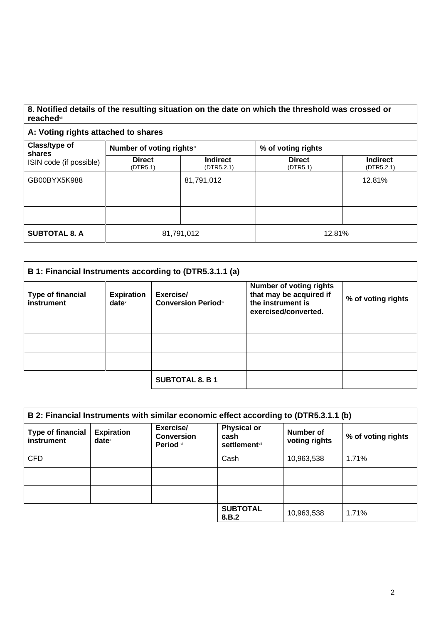## **8. Notified details of the resulting situation on the date on which the threshold was crossed or reached**viii

### **A: Voting rights attached to shares**

| Class/type of<br>shares<br>ISIN code (if possible) | Number of voting rights <sup>ix</sup> |                               | % of voting rights        |                               |
|----------------------------------------------------|---------------------------------------|-------------------------------|---------------------------|-------------------------------|
|                                                    | <b>Direct</b><br>(DTR5.1)             | <b>Indirect</b><br>(DTR5.2.1) | <b>Direct</b><br>(DTR5.1) | <b>Indirect</b><br>(DTR5.2.1) |
| GB00BYX5K988                                       |                                       | 81,791,012                    |                           | 12.81%                        |
|                                                    |                                       |                               |                           |                               |
|                                                    |                                       |                               |                           |                               |
| <b>SUBTOTAL 8. A</b>                               | 81,791,012                            |                               | 12.81%                    |                               |

| B 1: Financial Instruments according to (DTR5.3.1.1 (a) |                                      |                                         |                                                                                                        |                    |
|---------------------------------------------------------|--------------------------------------|-----------------------------------------|--------------------------------------------------------------------------------------------------------|--------------------|
| <b>Type of financial</b><br>instrument                  | <b>Expiration</b><br>$date^{\times}$ | Exercise/<br><b>Conversion Periodxi</b> | <b>Number of voting rights</b><br>that may be acquired if<br>the instrument is<br>exercised/converted. | % of voting rights |
|                                                         |                                      |                                         |                                                                                                        |                    |
|                                                         |                                      |                                         |                                                                                                        |                    |
|                                                         |                                      |                                         |                                                                                                        |                    |
|                                                         |                                      | <b>SUBTOTAL 8. B 1</b>                  |                                                                                                        |                    |

| B 2: Financial Instruments with similar economic effect according to (DTR5.3.1.1 (b) |                                      |                                             |                                                                |                            |                    |
|--------------------------------------------------------------------------------------|--------------------------------------|---------------------------------------------|----------------------------------------------------------------|----------------------------|--------------------|
| <b>Type of financial</b><br>instrument                                               | <b>Expiration</b><br>$date^{\times}$ | Exercise/<br><b>Conversion</b><br>Period xi | <b>Physical or</b><br>cash<br><b>settlement</b> <sup>xii</sup> | Number of<br>voting rights | % of voting rights |
| <b>CFD</b>                                                                           |                                      |                                             | Cash                                                           | 10,963,538                 | 1.71%              |
|                                                                                      |                                      |                                             |                                                                |                            |                    |
|                                                                                      |                                      |                                             |                                                                |                            |                    |
|                                                                                      |                                      |                                             | <b>SUBTOTAL</b><br>8.B.2                                       | 10,963,538                 | 1.71%              |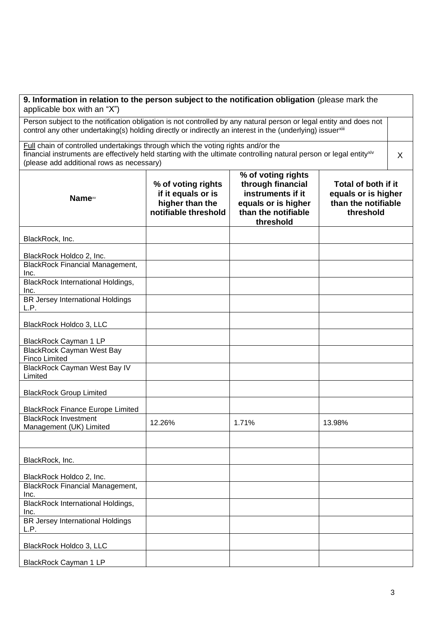| 9. Information in relation to the person subject to the notification obligation (please mark the<br>applicable box with an "X")                                                                                                                                  |                                                                                     |                                                                                                                         |                                                                                |   |
|------------------------------------------------------------------------------------------------------------------------------------------------------------------------------------------------------------------------------------------------------------------|-------------------------------------------------------------------------------------|-------------------------------------------------------------------------------------------------------------------------|--------------------------------------------------------------------------------|---|
| Person subject to the notification obligation is not controlled by any natural person or legal entity and does not<br>control any other undertaking(s) holding directly or indirectly an interest in the (underlying) issuerxili                                 |                                                                                     |                                                                                                                         |                                                                                |   |
| Full chain of controlled undertakings through which the voting rights and/or the<br>financial instruments are effectively held starting with the ultimate controlling natural person or legal entity <sup>xiv</sup><br>(please add additional rows as necessary) |                                                                                     |                                                                                                                         |                                                                                | X |
| <b>Name</b> xv                                                                                                                                                                                                                                                   | % of voting rights<br>if it equals or is<br>higher than the<br>notifiable threshold | % of voting rights<br>through financial<br>instruments if it<br>equals or is higher<br>than the notifiable<br>threshold | Total of both if it<br>equals or is higher<br>than the notifiable<br>threshold |   |
| BlackRock, Inc.                                                                                                                                                                                                                                                  |                                                                                     |                                                                                                                         |                                                                                |   |
| BlackRock Holdco 2, Inc.                                                                                                                                                                                                                                         |                                                                                     |                                                                                                                         |                                                                                |   |
| <b>BlackRock Financial Management,</b><br>Inc.                                                                                                                                                                                                                   |                                                                                     |                                                                                                                         |                                                                                |   |
| <b>BlackRock International Holdings,</b><br>Inc.                                                                                                                                                                                                                 |                                                                                     |                                                                                                                         |                                                                                |   |
| <b>BR Jersey International Holdings</b><br>L.P.                                                                                                                                                                                                                  |                                                                                     |                                                                                                                         |                                                                                |   |
| BlackRock Holdco 3, LLC                                                                                                                                                                                                                                          |                                                                                     |                                                                                                                         |                                                                                |   |
| BlackRock Cayman 1 LP                                                                                                                                                                                                                                            |                                                                                     |                                                                                                                         |                                                                                |   |
| <b>BlackRock Cayman West Bay</b><br><b>Finco Limited</b>                                                                                                                                                                                                         |                                                                                     |                                                                                                                         |                                                                                |   |
| <b>BlackRock Cayman West Bay IV</b><br>Limited                                                                                                                                                                                                                   |                                                                                     |                                                                                                                         |                                                                                |   |
| <b>BlackRock Group Limited</b>                                                                                                                                                                                                                                   |                                                                                     |                                                                                                                         |                                                                                |   |
| <b>BlackRock Finance Europe Limited</b>                                                                                                                                                                                                                          |                                                                                     |                                                                                                                         |                                                                                |   |
| <b>BlackRock Investment</b><br>Management (UK) Limited                                                                                                                                                                                                           | 12.26%                                                                              | 1.71%                                                                                                                   | 13.98%                                                                         |   |
|                                                                                                                                                                                                                                                                  |                                                                                     |                                                                                                                         |                                                                                |   |
| BlackRock, Inc.                                                                                                                                                                                                                                                  |                                                                                     |                                                                                                                         |                                                                                |   |
| BlackRock Holdco 2, Inc.                                                                                                                                                                                                                                         |                                                                                     |                                                                                                                         |                                                                                |   |
| <b>BlackRock Financial Management,</b><br>Inc.                                                                                                                                                                                                                   |                                                                                     |                                                                                                                         |                                                                                |   |
| <b>BlackRock International Holdings,</b><br>Inc.                                                                                                                                                                                                                 |                                                                                     |                                                                                                                         |                                                                                |   |
| <b>BR Jersey International Holdings</b><br>L.P.                                                                                                                                                                                                                  |                                                                                     |                                                                                                                         |                                                                                |   |
| BlackRock Holdco 3, LLC                                                                                                                                                                                                                                          |                                                                                     |                                                                                                                         |                                                                                |   |
| BlackRock Cayman 1 LP                                                                                                                                                                                                                                            |                                                                                     |                                                                                                                         |                                                                                |   |